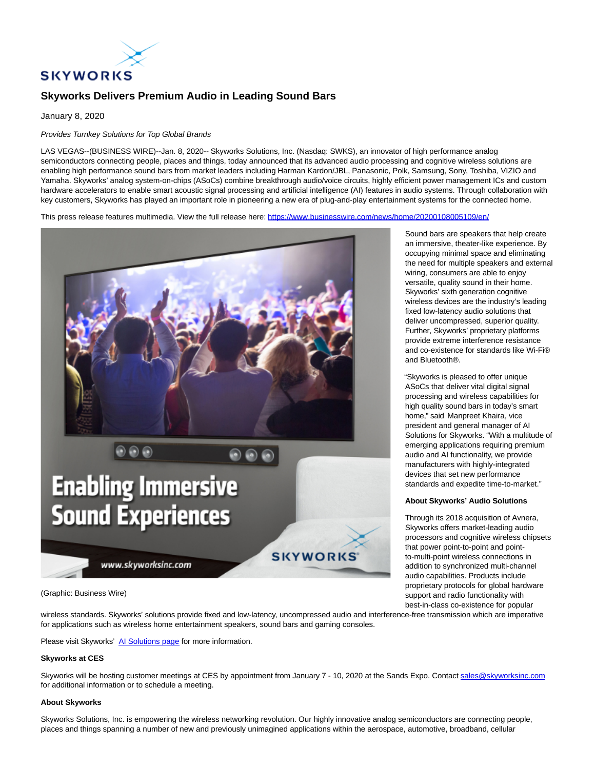

# **Skyworks Delivers Premium Audio in Leading Sound Bars**

January 8, 2020

## Provides Turnkey Solutions for Top Global Brands

LAS VEGAS--(BUSINESS WIRE)--Jan. 8, 2020-- Skyworks Solutions, Inc. (Nasdaq: SWKS), an innovator of high performance analog semiconductors connecting people, places and things, today announced that its advanced audio processing and cognitive wireless solutions are enabling high performance sound bars from market leaders including Harman Kardon/JBL, Panasonic, Polk, Samsung, Sony, Toshiba, VIZIO and Yamaha. Skyworks' analog system-on-chips (ASoCs) combine breakthrough audio/voice circuits, highly efficient power management ICs and custom hardware accelerators to enable smart acoustic signal processing and artificial intelligence (AI) features in audio systems. Through collaboration with key customers, Skyworks has played an important role in pioneering a new era of plug-and-play entertainment systems for the connected home.

This press release features multimedia. View the full release here:<https://www.businesswire.com/news/home/20200108005109/en/>



(Graphic: Business Wire)

wireless standards. Skyworks' solutions provide fixed and low-latency, uncompressed audio and interference-free transmission which are imperative for applications such as wireless home entertainment speakers, sound bars and gaming consoles.

Please visit Skyworks' Al Solutions page for more information.

### **Skyworks at CES**

Skyworks will be hosting customer meetings at CES by appointment from January 7 - 10, 2020 at the Sands Expo. Contac[t sales@skyworksinc.com](mailto:sales@skyworksinc.com) for additional information or to schedule a meeting.

### **About Skyworks**

Skyworks Solutions, Inc. is empowering the wireless networking revolution. Our highly innovative analog semiconductors are connecting people, places and things spanning a number of new and previously unimagined applications within the aerospace, automotive, broadband, cellular

Sound bars are speakers that help create an immersive, theater-like experience. By occupying minimal space and eliminating the need for multiple speakers and external wiring, consumers are able to enjoy versatile, quality sound in their home. Skyworks' sixth generation cognitive wireless devices are the industry's leading fixed low-latency audio solutions that deliver uncompressed, superior quality. Further, Skyworks' proprietary platforms provide extreme interference resistance and co-existence for standards like Wi-Fi® and Bluetooth®.

"Skyworks is pleased to offer unique ASoCs that deliver vital digital signal processing and wireless capabilities for high quality sound bars in today's smart home," said Manpreet Khaira, vice president and general manager of AI Solutions for Skyworks. "With a multitude of emerging applications requiring premium audio and AI functionality, we provide manufacturers with highly-integrated devices that set new performance standards and expedite time-to-market."

### **About Skyworks' Audio Solutions**

Through its 2018 acquisition of Avnera, Skyworks offers market-leading audio processors and cognitive wireless chipsets that power point-to-point and pointto-multi-point wireless connections in addition to synchronized multi-channel audio capabilities. Products include proprietary protocols for global hardware support and radio functionality with best-in-class co-existence for popular